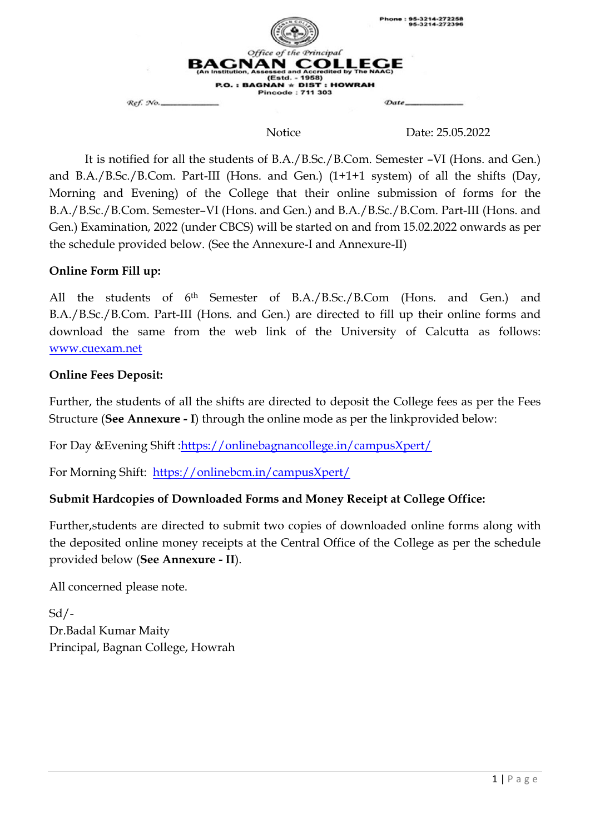

Notice Date: 25.05.2022

It is notified for all the students of B.A./B.Sc./B.Com. Semester –VI (Hons. and Gen.) and B.A./B.Sc./B.Com. Part-III (Hons. and Gen.) (1+1+1 system) of all the shifts (Day, Morning and Evening) of the College that their online submission of forms for the B.A./B.Sc./B.Com. Semester–VI (Hons. and Gen.) and B.A./B.Sc./B.Com. Part-III (Hons. and Gen.) Examination, 2022 (under CBCS) will be started on and from 15.02.2022 onwards as per the schedule provided below. (See the Annexure-I and Annexure-II)

# **Online Form Fill up:**

All the students of 6th Semester of B.A./B.Sc./B.Com (Hons. and Gen.) and B.A./B.Sc./B.Com. Part-III (Hons. and Gen.) are directed to fill up their online forms and download the same from the web link of the University of Calcutta as follows: [www.cuexam.net](http://www.cuexam.net/)

## **Online Fees Deposit:**

Further, the students of all the shifts are directed to deposit the College fees as per the Fees Structure (**See Annexure - I**) through the online mode as per the linkprovided below:

For Day &Evening Shift [:https://onlinebagnancollege.in/campusXpert/](https://onlinebagnancollege.in/campusXpert/)

For Morning Shift: <https://onlinebcm.in/campusXpert/>

# **Submit Hardcopies of Downloaded Forms and Money Receipt at College Office:**

Further,students are directed to submit two copies of downloaded online forms along with the deposited online money receipts at the Central Office of the College as per the schedule provided below (**See Annexure - II**).

All concerned please note.

Sd/- Dr.Badal Kumar Maity Principal, Bagnan College, Howrah